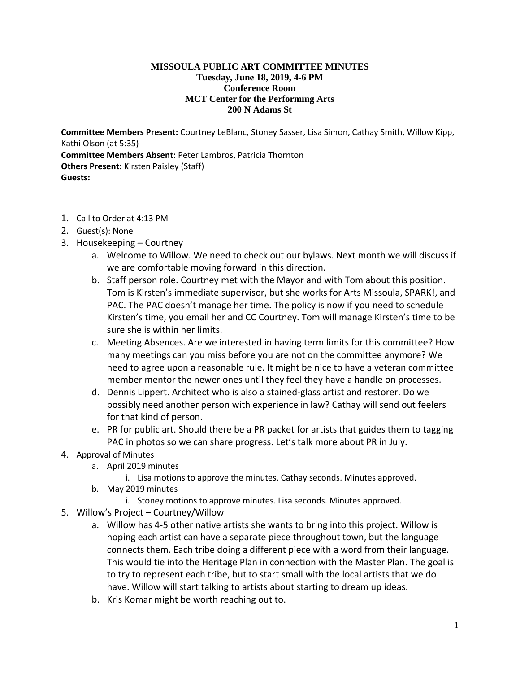## **MISSOULA PUBLIC ART COMMITTEE MINUTES Tuesday, June 18, 2019, 4-6 PM Conference Room MCT Center for the Performing Arts 200 N Adams St**

**Committee Members Present:** Courtney LeBlanc, Stoney Sasser, Lisa Simon, Cathay Smith, Willow Kipp, Kathi Olson (at 5:35) **Committee Members Absent:** Peter Lambros, Patricia Thornton **Others Present:** Kirsten Paisley (Staff) **Guests:**

- 1. Call to Order at 4:13 PM
- 2. Guest(s): None
- 3. Housekeeping Courtney
	- a. Welcome to Willow. We need to check out our bylaws. Next month we will discuss if we are comfortable moving forward in this direction.
	- b. Staff person role. Courtney met with the Mayor and with Tom about this position. Tom is Kirsten's immediate supervisor, but she works for Arts Missoula, SPARK!, and PAC. The PAC doesn't manage her time. The policy is now if you need to schedule Kirsten's time, you email her and CC Courtney. Tom will manage Kirsten's time to be sure she is within her limits.
	- c. Meeting Absences. Are we interested in having term limits for this committee? How many meetings can you miss before you are not on the committee anymore? We need to agree upon a reasonable rule. It might be nice to have a veteran committee member mentor the newer ones until they feel they have a handle on processes.
	- d. Dennis Lippert. Architect who is also a stained-glass artist and restorer. Do we possibly need another person with experience in law? Cathay will send out feelers for that kind of person.
	- e. PR for public art. Should there be a PR packet for artists that guides them to tagging PAC in photos so we can share progress. Let's talk more about PR in July.
- 4. Approval of Minutes
	- a. April 2019 minutes
		- i. Lisa motions to approve the minutes. Cathay seconds. Minutes approved.
	- b. May 2019 minutes
		- i. Stoney motions to approve minutes. Lisa seconds. Minutes approved.
- 5. Willow's Project Courtney/Willow
	- a. Willow has 4-5 other native artists she wants to bring into this project. Willow is hoping each artist can have a separate piece throughout town, but the language connects them. Each tribe doing a different piece with a word from their language. This would tie into the Heritage Plan in connection with the Master Plan. The goal is to try to represent each tribe, but to start small with the local artists that we do have. Willow will start talking to artists about starting to dream up ideas.
	- b. Kris Komar might be worth reaching out to.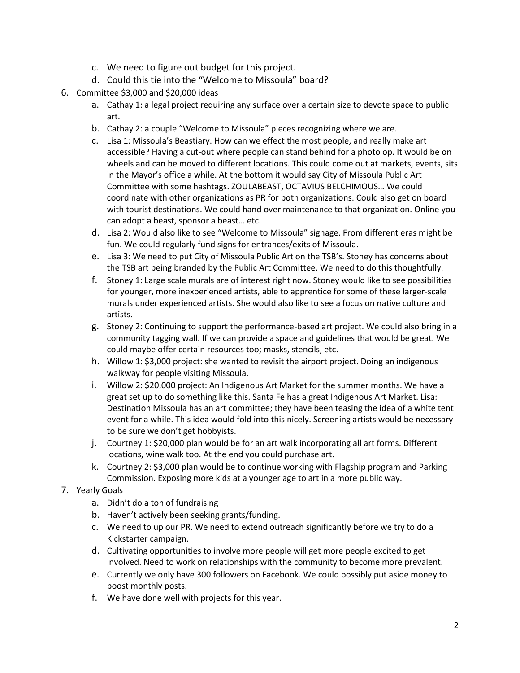- c. We need to figure out budget for this project.
- d. Could this tie into the "Welcome to Missoula" board?
- 6. Committee \$3,000 and \$20,000 ideas
	- a. Cathay 1: a legal project requiring any surface over a certain size to devote space to public art.
	- b. Cathay 2: a couple "Welcome to Missoula" pieces recognizing where we are.
	- c. Lisa 1: Missoula's Beastiary. How can we effect the most people, and really make art accessible? Having a cut-out where people can stand behind for a photo op. It would be on wheels and can be moved to different locations. This could come out at markets, events, sits in the Mayor's office a while. At the bottom it would say City of Missoula Public Art Committee with some hashtags. ZOULABEAST, OCTAVIUS BELCHIMOUS… We could coordinate with other organizations as PR for both organizations. Could also get on board with tourist destinations. We could hand over maintenance to that organization. Online you can adopt a beast, sponsor a beast… etc.
	- d. Lisa 2: Would also like to see "Welcome to Missoula" signage. From different eras might be fun. We could regularly fund signs for entrances/exits of Missoula.
	- e. Lisa 3: We need to put City of Missoula Public Art on the TSB's. Stoney has concerns about the TSB art being branded by the Public Art Committee. We need to do this thoughtfully.
	- f. Stoney 1: Large scale murals are of interest right now. Stoney would like to see possibilities for younger, more inexperienced artists, able to apprentice for some of these larger-scale murals under experienced artists. She would also like to see a focus on native culture and artists.
	- g. Stoney 2: Continuing to support the performance-based art project. We could also bring in a community tagging wall. If we can provide a space and guidelines that would be great. We could maybe offer certain resources too; masks, stencils, etc.
	- h. Willow 1: \$3,000 project: she wanted to revisit the airport project. Doing an indigenous walkway for people visiting Missoula.
	- i. Willow 2: \$20,000 project: An Indigenous Art Market for the summer months. We have a great set up to do something like this. Santa Fe has a great Indigenous Art Market. Lisa: Destination Missoula has an art committee; they have been teasing the idea of a white tent event for a while. This idea would fold into this nicely. Screening artists would be necessary to be sure we don't get hobbyists.
	- j. Courtney 1: \$20,000 plan would be for an art walk incorporating all art forms. Different locations, wine walk too. At the end you could purchase art.
	- k. Courtney 2: \$3,000 plan would be to continue working with Flagship program and Parking Commission. Exposing more kids at a younger age to art in a more public way.

## 7. Yearly Goals

- a. Didn't do a ton of fundraising
- b. Haven't actively been seeking grants/funding.
- c. We need to up our PR. We need to extend outreach significantly before we try to do a Kickstarter campaign.
- d. Cultivating opportunities to involve more people will get more people excited to get involved. Need to work on relationships with the community to become more prevalent.
- e. Currently we only have 300 followers on Facebook. We could possibly put aside money to boost monthly posts.
- f. We have done well with projects for this year.